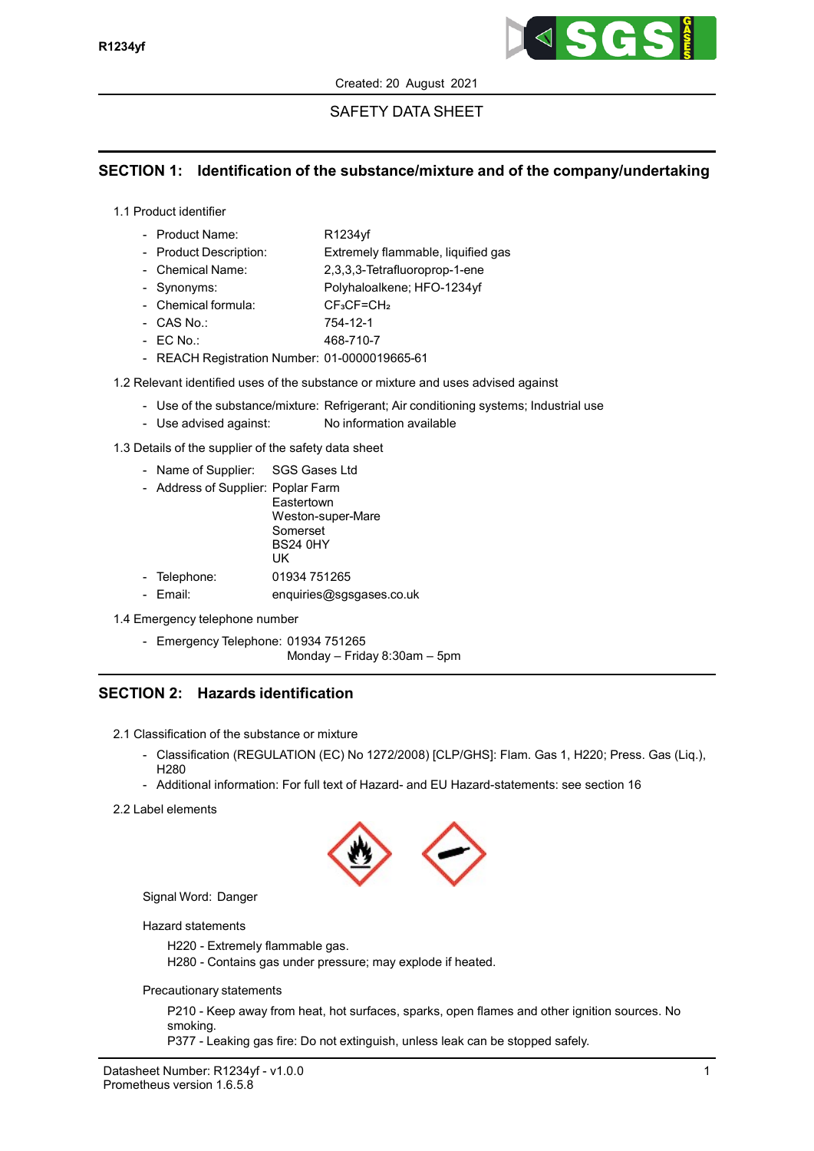

# SAFETY DATA SHEET

# SECTION 1: Identification of the substance/mixture and of the company/undertaking

1.1 Product identifier

| - Product Name:        | R1234yf                            |
|------------------------|------------------------------------|
| - Product Description: | Extremely flammable, liquified gas |

- Chemical Name: 2,3,3,3-Tetrafluoroprop-1-ene
- Synonyms: Polyhaloalkene; HFO-1234yf
- Chemical formula: CF3CF=CH2
- CAS No.: 754-12-1
- EC No.: 468-710-7
- REACH Registration Number: 01-0000019665-61

1.2 Relevant identified uses of the substance or mixture and uses advised against

- Use of the substance/mixture: Refrigerant; Air conditioning systems; Industrial use
- Use advised against: No information available
- 1.3 Details of the supplier of the safety data sheet
	- Name of Supplier: SGS Gases Ltd
	- Address of Supplier: Poplar Farm

|              | Eastertown               |
|--------------|--------------------------|
|              | Weston-super-Mare        |
|              | Somerset                 |
|              | <b>BS24 0HY</b>          |
|              | UK                       |
| - Telephone: | 01934 751265             |
| - Fmail:     | enquiries@sgsgases.co.uk |

- 1.4 Emergency telephone number
	- Emergency Telephone: 01934 751265

Monday – Friday 8:30am – 5pm

# SECTION 2: Hazards identification

2.1 Classification of the substance or mixture

- Classification (REGULATION (EC) No 1272/2008) [CLP/GHS]: Flam. Gas 1, H220; Press. Gas (Liq.), H280
- Additional information: For full text of Hazard- and EU Hazard-statements: see section 16
- 2.2 Label elements



Signal Word: Danger

Hazard statements

H220 - Extremely flammable gas.

H280 - Contains gas under pressure; may explode if heated.

## Precautionary statements

P210 - Keep away from heat, hot surfaces, sparks, open flames and other ignition sources. No smoking.

P377 - Leaking gas fire: Do not extinguish, unless leak can be stopped safely.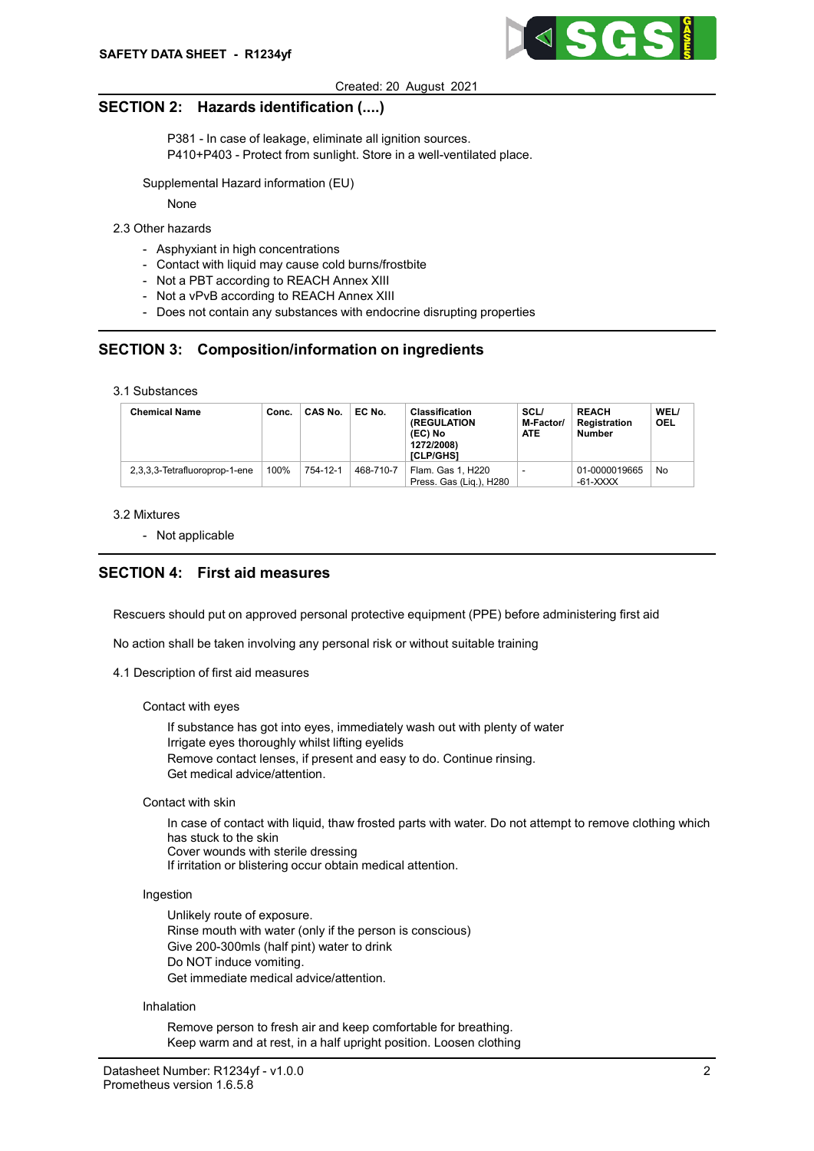

# SECTION 2: Hazards identification (....)

P381 - In case of leakage, eliminate all ignition sources. P410+P403 - Protect from sunlight. Store in a well-ventilated place.

Supplemental Hazard information (EU)

None

2.3 Other hazards

- Asphyxiant in high concentrations
- Contact with liquid may cause cold burns/frostbite
- Not a PBT according to REACH Annex XIII
- Not a vPvB according to REACH Annex XIII
- Does not contain any substances with endocrine disrupting properties

# SECTION 3: Composition/information on ingredients

#### 3.1 Substances

| <b>Chemical Name</b>          | Conc. | CAS No.  | EC No.    | <b>Classification</b><br><b>(REGULATION</b><br>(EC) No<br>1272/2008)<br><b>ICLP/GHSI</b> | <b>SCL/</b><br>M-Factor/<br><b>ATE</b> | <b>REACH</b><br><b>Registration</b><br><b>Number</b> | WEL/<br><b>OEL</b> |
|-------------------------------|-------|----------|-----------|------------------------------------------------------------------------------------------|----------------------------------------|------------------------------------------------------|--------------------|
| 2,3,3,3-Tetrafluoroprop-1-ene | 100%  | 754-12-1 | 468-710-7 | Flam, Gas 1, H220<br>Press. Gas (Lig.), H280                                             | -                                      | 01-0000019665<br>$-61-XXXX$                          | No                 |

### 3.2 Mixtures

- Not applicable

## SECTION 4: First aid measures

Rescuers should put on approved personal protective equipment (PPE) before administering first aid

No action shall be taken involving any personal risk or without suitable training

4.1 Description of first aid measures

### Contact with eyes

If substance has got into eyes, immediately wash out with plenty of water Irrigate eyes thoroughly whilst lifting eyelids Remove contact lenses, if present and easy to do. Continue rinsing. Get medical advice/attention.

## Contact with skin

In case of contact with liquid, thaw frosted parts with water. Do not attempt to remove clothing which has stuck to the skin Cover wounds with sterile dressing If irritation or blistering occur obtain medical attention.

### Ingestion

Unlikely route of exposure. Rinse mouth with water (only if the person is conscious) Give 200-300mls (half pint) water to drink Do NOT induce vomiting. Get immediate medical advice/attention.

### Inhalation

Remove person to fresh air and keep comfortable for breathing. Keep warm and at rest, in a half upright position. Loosen clothing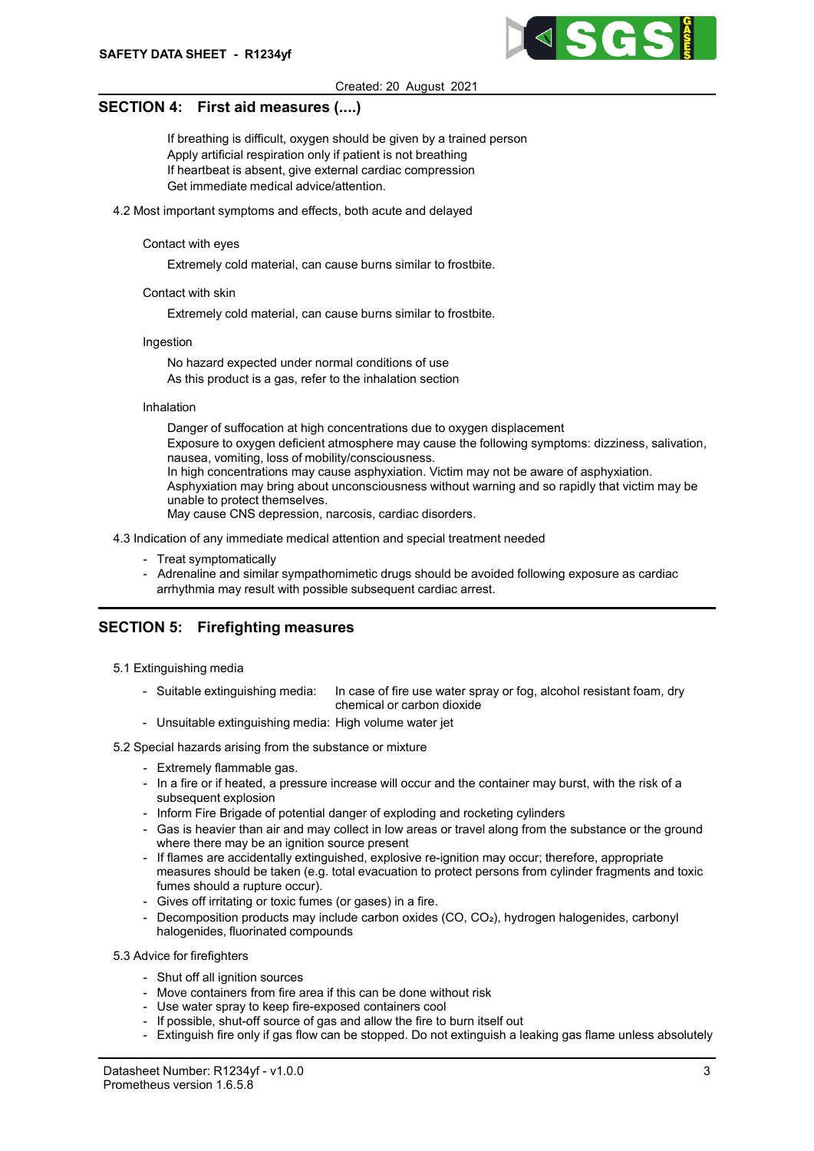

## SECTION 4: First aid measures (....)

If breathing is difficult, oxygen should be given by a trained person Apply artificial respiration only if patient is not breathing If heartbeat is absent, give external cardiac compression Get immediate medical advice/attention.

4.2 Most important symptoms and effects, both acute and delayed

### Contact with eyes

Extremely cold material, can cause burns similar to frostbite.

## Contact with skin

Extremely cold material, can cause burns similar to frostbite.

### Ingestion

No hazard expected under normal conditions of use As this product is a gas, refer to the inhalation section

#### Inhalation

Danger of suffocation at high concentrations due to oxygen displacement Exposure to oxygen deficient atmosphere may cause the following symptoms: dizziness, salivation, nausea, vomiting, loss of mobility/consciousness. In high concentrations may cause asphyxiation. Victim may not be aware of asphyxiation. Asphyxiation may bring about unconsciousness without warning and so rapidly that victim may be unable to protect themselves. May cause CNS depression, narcosis, cardiac disorders.

- 4.3 Indication of any immediate medical attention and special treatment needed
	- Treat symptomatically
	- Adrenaline and similar sympathomimetic drugs should be avoided following exposure as cardiac arrhythmia may result with possible subsequent cardiac arrest.

## SECTION 5: Firefighting measures

- 5.1 Extinguishing media
	- Suitable extinguishing media: In case of fire use water spray or fog, alcohol resistant foam, dry chemical or carbon dioxide
	- Unsuitable extinguishing media: High volume water jet
- 5.2 Special hazards arising from the substance or mixture
	- Extremely flammable gas.
	- In a fire or if heated, a pressure increase will occur and the container may burst, with the risk of a subsequent explosion
	- Inform Fire Brigade of potential danger of exploding and rocketing cylinders
	- Gas is heavier than air and may collect in low areas or travel along from the substance or the ground where there may be an ignition source present
	- If flames are accidentally extinguished, explosive re-ignition may occur; therefore, appropriate measures should be taken (e.g. total evacuation to protect persons from cylinder fragments and toxic fumes should a rupture occur).
	- Gives off irritating or toxic fumes (or gases) in a fire.
	- Decomposition products may include carbon oxides (CO,  $CO<sub>2</sub>$ ), hydrogen halogenides, carbonyl halogenides, fluorinated compounds

5.3 Advice for firefighters

- Shut off all ignition sources
- Move containers from fire area if this can be done without risk
- Use water spray to keep fire-exposed containers cool
- If possible, shut-off source of gas and allow the fire to burn itself out
- Extinguish fire only if gas flow can be stopped. Do not extinguish a leaking gas flame unless absolutely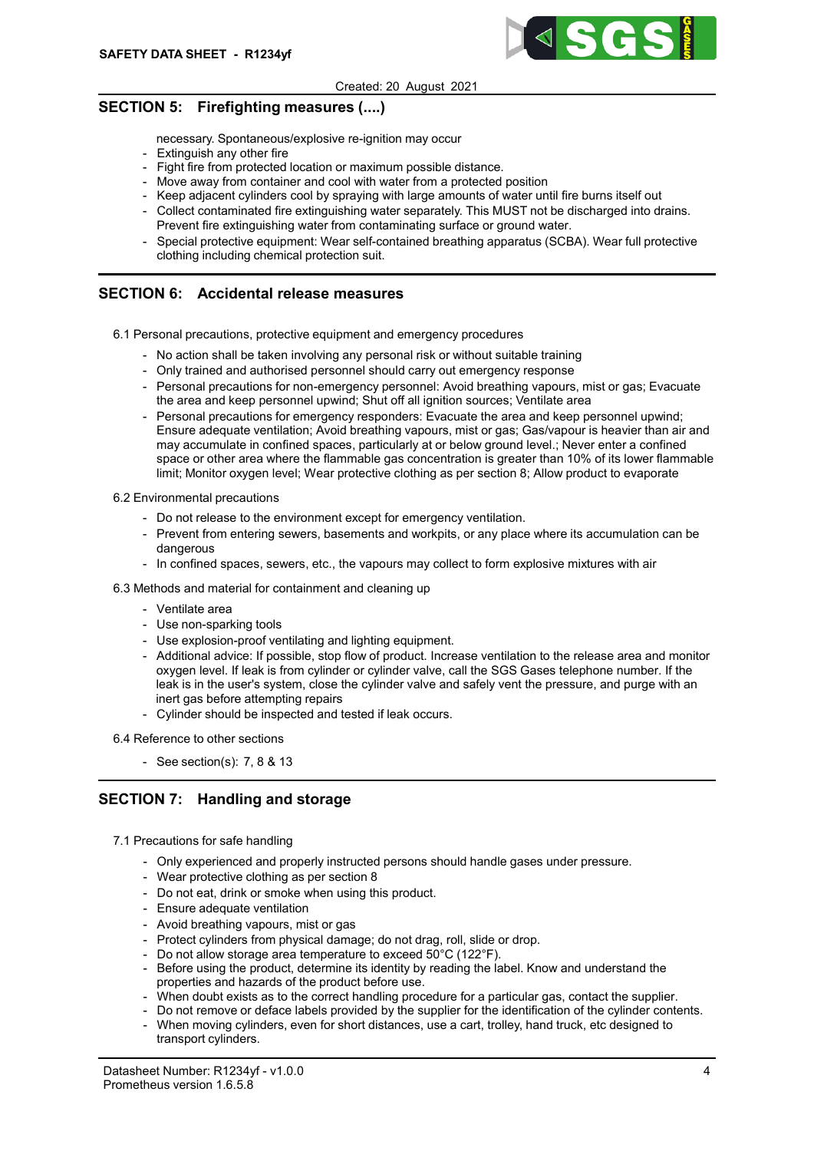

# SECTION 5: Firefighting measures (....)

- necessary. Spontaneous/explosive re-ignition may occur
- Extinguish any other fire
- Fight fire from protected location or maximum possible distance.
- Move away from container and cool with water from a protected position
- Keep adjacent cylinders cool by spraying with large amounts of water until fire burns itself out
- Collect contaminated fire extinguishing water separately. This MUST not be discharged into drains. Prevent fire extinguishing water from contaminating surface or ground water.
- Special protective equipment: Wear self-contained breathing apparatus (SCBA). Wear full protective clothing including chemical protection suit.

# SECTION 6: Accidental release measures

- 6.1 Personal precautions, protective equipment and emergency procedures
	- No action shall be taken involving any personal risk or without suitable training
	- Only trained and authorised personnel should carry out emergency response
	- Personal precautions for non-emergency personnel: Avoid breathing vapours, mist or gas; Evacuate the area and keep personnel upwind; Shut off all ignition sources; Ventilate area
	- Personal precautions for emergency responders: Evacuate the area and keep personnel upwind; Ensure adequate ventilation; Avoid breathing vapours, mist or gas; Gas/vapour is heavier than air and may accumulate in confined spaces, particularly at or below ground level.; Never enter a confined space or other area where the flammable gas concentration is greater than 10% of its lower flammable limit; Monitor oxygen level; Wear protective clothing as per section 8; Allow product to evaporate
- 6.2 Environmental precautions
	- Do not release to the environment except for emergency ventilation.
	- Prevent from entering sewers, basements and workpits, or any place where its accumulation can be dangerous
	- In confined spaces, sewers, etc., the vapours may collect to form explosive mixtures with air
- 6.3 Methods and material for containment and cleaning up
	- Ventilate area
	- Use non-sparking tools
	- Use explosion-proof ventilating and lighting equipment.
	- Additional advice: If possible, stop flow of product. Increase ventilation to the release area and monitor oxygen level. If leak is from cylinder or cylinder valve, call the SGS Gases telephone number. If the leak is in the user's system, close the cylinder valve and safely vent the pressure, and purge with an inert gas before attempting repairs
	- Cylinder should be inspected and tested if leak occurs.
- 6.4 Reference to other sections
	- See section(s): 7, 8 & 13

# SECTION 7: Handling and storage

- 7.1 Precautions for safe handling
	- Only experienced and properly instructed persons should handle gases under pressure.
	- Wear protective clothing as per section 8
	- Do not eat, drink or smoke when using this product.
	- Ensure adequate ventilation
	- Avoid breathing vapours, mist or gas
	- Protect cylinders from physical damage; do not drag, roll, slide or drop.
	- Do not allow storage area temperature to exceed 50°C (122°F).
	- Before using the product, determine its identity by reading the label. Know and understand the properties and hazards of the product before use.
	- When doubt exists as to the correct handling procedure for a particular gas, contact the supplier.
	- Do not remove or deface labels provided by the supplier for the identification of the cylinder contents. - When moving cylinders, even for short distances, use a cart, trolley, hand truck, etc designed to
	- transport cylinders.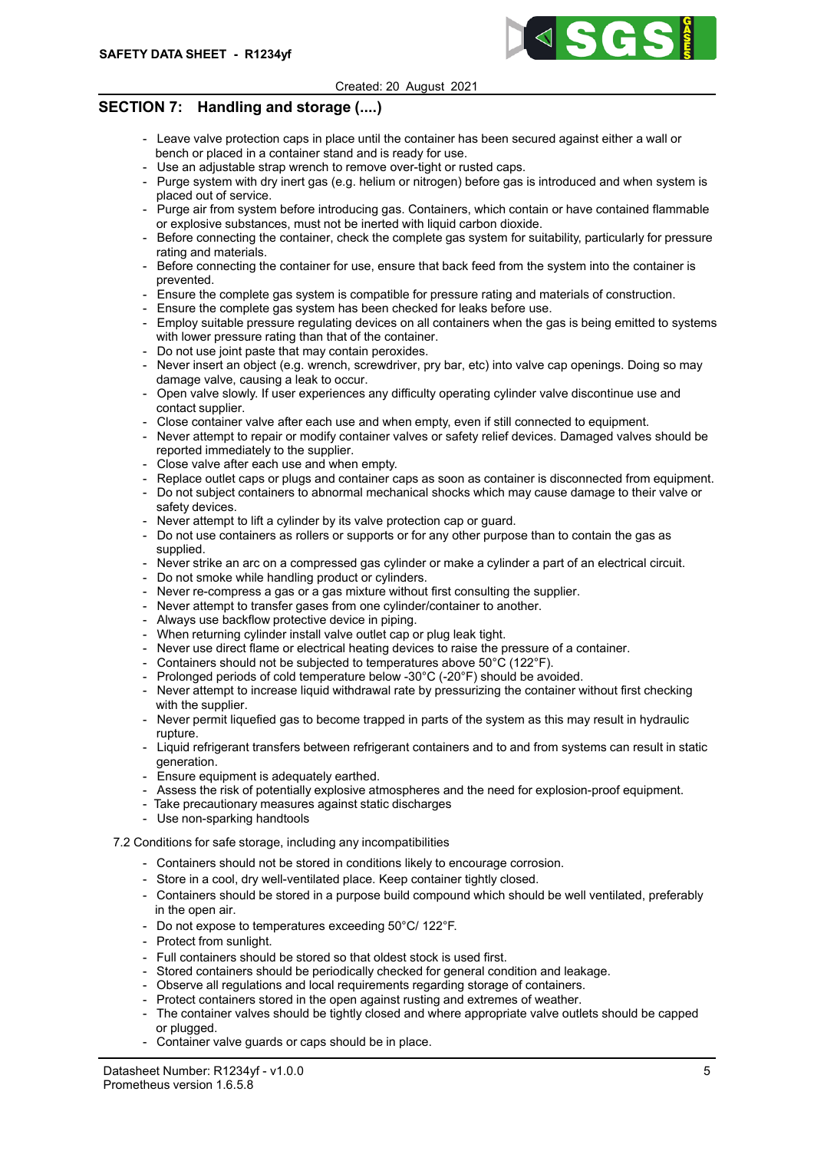

# SECTION 7: Handling and storage (....)

- Leave valve protection caps in place until the container has been secured against either a wall or bench or placed in a container stand and is ready for use.
- Use an adjustable strap wrench to remove over-tight or rusted caps.
- Purge system with dry inert gas (e.g. helium or nitrogen) before gas is introduced and when system is placed out of service.
- Purge air from system before introducing gas. Containers, which contain or have contained flammable or explosive substances, must not be inerted with liquid carbon dioxide.
- Before connecting the container, check the complete gas system for suitability, particularly for pressure rating and materials.
- Before connecting the container for use, ensure that back feed from the system into the container is prevented.
- Ensure the complete gas system is compatible for pressure rating and materials of construction.
- Ensure the complete gas system has been checked for leaks before use.
- Employ suitable pressure regulating devices on all containers when the gas is being emitted to systems with lower pressure rating than that of the container.
- Do not use joint paste that may contain peroxides.
- Never insert an object (e.g. wrench, screwdriver, pry bar, etc) into valve cap openings. Doing so may damage valve, causing a leak to occur.
- Open valve slowly. If user experiences any difficulty operating cylinder valve discontinue use and contact supplier.
- Close container valve after each use and when empty, even if still connected to equipment.
- Never attempt to repair or modify container valves or safety relief devices. Damaged valves should be reported immediately to the supplier.
- Close valve after each use and when empty.
- Replace outlet caps or plugs and container caps as soon as container is disconnected from equipment. - Do not subject containers to abnormal mechanical shocks which may cause damage to their valve or
- safety devices.
- Never attempt to lift a cylinder by its valve protection cap or guard.
- Do not use containers as rollers or supports or for any other purpose than to contain the gas as supplied.
- Never strike an arc on a compressed gas cylinder or make a cylinder a part of an electrical circuit.
- Do not smoke while handling product or cylinders.
- Never re-compress a gas or a gas mixture without first consulting the supplier.
- Never attempt to transfer gases from one cylinder/container to another.
- Always use backflow protective device in piping.
- When returning cylinder install valve outlet cap or plug leak tight.
- Never use direct flame or electrical heating devices to raise the pressure of a container.
- Containers should not be subjected to temperatures above 50°C (122°F).
- Prolonged periods of cold temperature below -30°C (-20°F) should be avoided.
- Never attempt to increase liquid withdrawal rate by pressurizing the container without first checking with the supplier.
- Never permit liquefied gas to become trapped in parts of the system as this may result in hydraulic rupture.
- Liquid refrigerant transfers between refrigerant containers and to and from systems can result in static generation.
- Ensure equipment is adequately earthed.
- Assess the risk of potentially explosive atmospheres and the need for explosion-proof equipment.
- Take precautionary measures against static discharges
- Use non-sparking handtools
- 7.2 Conditions for safe storage, including any incompatibilities
	- Containers should not be stored in conditions likely to encourage corrosion.
	- Store in a cool, dry well-ventilated place. Keep container tightly closed.
	- Containers should be stored in a purpose build compound which should be well ventilated, preferably in the open air.
	- Do not expose to temperatures exceeding 50°C/ 122°F.
	- Protect from sunlight.
	- Full containers should be stored so that oldest stock is used first.
	- Stored containers should be periodically checked for general condition and leakage.
	- Observe all regulations and local requirements regarding storage of containers.
	- Protect containers stored in the open against rusting and extremes of weather.
	- The container valves should be tightly closed and where appropriate valve outlets should be capped or plugged.
	- Container valve guards or caps should be in place.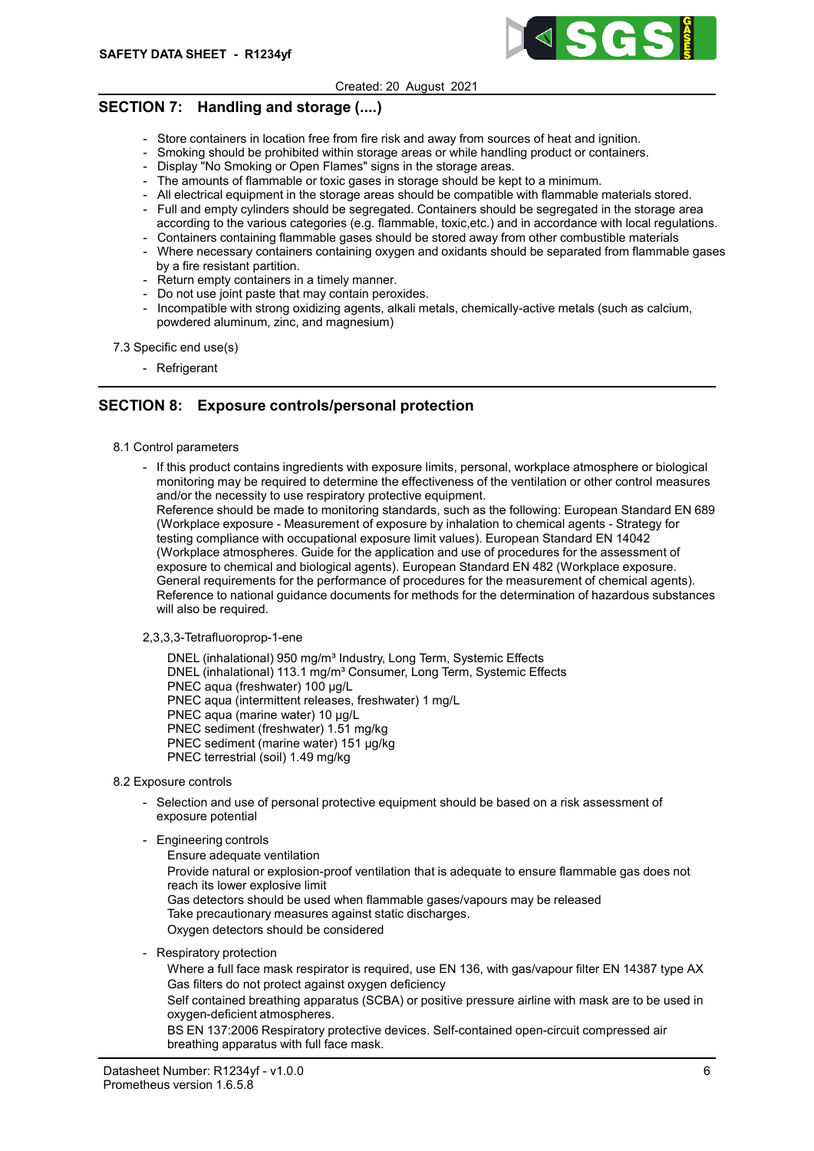

# SECTION 7: Handling and storage (....)

- Store containers in location free from fire risk and away from sources of heat and ignition.
- Smoking should be prohibited within storage areas or while handling product or containers.
- Display "No Smoking or Open Flames" signs in the storage areas.
- The amounts of flammable or toxic gases in storage should be kept to a minimum.
- All electrical equipment in the storage areas should be compatible with flammable materials stored.
- Full and empty cylinders should be segregated. Containers should be segregated in the storage area according to the various categories (e.g. flammable, toxic,etc.) and in accordance with local regulations.
- Containers containing flammable gases should be stored away from other combustible materials
- Where necessary containers containing oxygen and oxidants should be separated from flammable gases by a fire resistant partition.
- Return empty containers in a timely manner.
- Do not use joint paste that may contain peroxides.
- Incompatible with strong oxidizing agents, alkali metals, chemically-active metals (such as calcium, powdered aluminum, zinc, and magnesium)
- 7.3 Specific end use(s)
	- Refrigerant

# SECTION 8: Exposure controls/personal protection

### 8.1 Control parameters

- If this product contains ingredients with exposure limits, personal, workplace atmosphere or biological monitoring may be required to determine the effectiveness of the ventilation or other control measures and/or the necessity to use respiratory protective equipment.

Reference should be made to monitoring standards, such as the following: European Standard EN 689 (Workplace exposure - Measurement of exposure by inhalation to chemical agents - Strategy for testing compliance with occupational exposure limit values). European Standard EN 14042 (Workplace atmospheres. Guide for the application and use of procedures for the assessment of exposure to chemical and biological agents). European Standard EN 482 (Workplace exposure. General requirements for the performance of procedures for the measurement of chemical agents). Reference to national guidance documents for methods for the determination of hazardous substances will also be required.

### 2,3,3,3-Tetrafluoroprop-1-ene

DNEL (inhalational) 950 mg/m<sup>3</sup> Industry, Long Term, Systemic Effects DNEL (inhalational) 113.1 mg/m<sup>3</sup> Consumer, Long Term, Systemic Effects PNEC aqua (freshwater) 100 μg/L PNEC aqua (intermittent releases, freshwater) 1 mg/L PNEC aqua (marine water) 10 μg/L PNEC sediment (freshwater) 1.51 mg/kg PNEC sediment (marine water) 151 µg/kg PNEC terrestrial (soil) 1.49 mg/kg

- 8.2 Exposure controls
	- Selection and use of personal protective equipment should be based on a risk assessment of exposure potential
	- Engineering controls

Ensure adequate ventilation Provide natural or explosion-proof ventilation that is adequate to ensure flammable gas does not reach its lower explosive limit Gas detectors should be used when flammable gases/vapours may be released Take precautionary measures against static discharges. Oxygen detectors should be considered

- Respiratory protection

Where a full face mask respirator is required, use EN 136, with gas/vapour filter EN 14387 type AX Gas filters do not protect against oxygen deficiency

Self contained breathing apparatus (SCBA) or positive pressure airline with mask are to be used in oxygen-deficient atmospheres.

BS EN 137:2006 Respiratory protective devices. Self-contained open-circuit compressed air breathing apparatus with full face mask.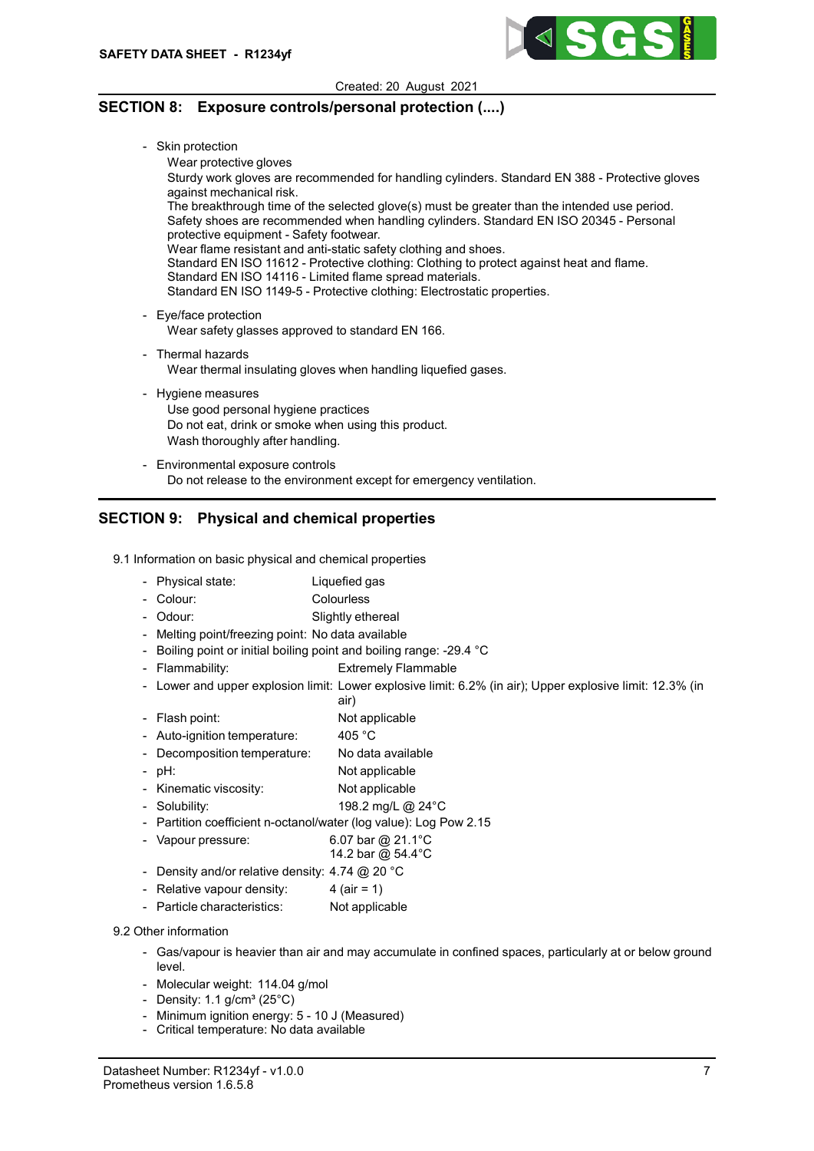

# SECTION 8: Exposure controls/personal protection (....)

- Skin protection
	- Wear protective gloves Sturdy work gloves are recommended for handling cylinders. Standard EN 388 - Protective gloves against mechanical risk. The breakthrough time of the selected glove(s) must be greater than the intended use period. Safety shoes are recommended when handling cylinders. Standard EN ISO 20345 - Personal protective equipment - Safety footwear. Wear flame resistant and anti-static safety clothing and shoes. Standard EN ISO 11612 - Protective clothing: Clothing to protect against heat and flame. Standard EN ISO 14116 - Limited flame spread materials. Standard EN ISO 1149-5 - Protective clothing: Electrostatic properties.
- Eye/face protection Wear safety glasses approved to standard EN 166.
- Thermal hazards Wear thermal insulating gloves when handling liquefied gases.
- Hygiene measures Use good personal hygiene practices Do not eat, drink or smoke when using this product. Wash thoroughly after handling.
- Environmental exposure controls Do not release to the environment except for emergency ventilation.

# SECTION 9: Physical and chemical properties

- 9.1 Information on basic physical and chemical properties
	- Physical state: Liquefied gas
	- Colour: Colourless
	- Odour: Slightly ethereal
	- Melting point/freezing point: No data available
	- Boiling point or initial boiling point and boiling range: -29.4 °C
	- Flammability: Extremely Flammable
	- Lower and upper explosion limit: Lower explosive limit: 6.2% (in air); Upper explosive limit: 12.3% (in
	- air) - Flash point: Not applicable
	- Auto-ignition temperature: 405 °C
	- Decomposition temperature: No data available
	- pH: Not applicable
	- Kinematic viscosity: Not applicable
	- Solubility: 198.2 mg/L @ 24°C
	- Partition coefficient n-octanol/water (log value): Log Pow 2.15
	- Vapour pressure: 6.07 bar @ 21.1°C 14.2 bar @ 54.4°C
	- Density and/or relative density: 4.74 @ 20 °C
	- Relative vapour density:  $4$  (air = 1)
	- Particle characteristics: Not applicable
- 9.2 Other information
	- Gas/vapour is heavier than air and may accumulate in confined spaces, particularly at or below ground level.
	- Molecular weight: 114.04 g/mol
	- Density:  $1.1$  g/cm<sup>3</sup> (25 $^{\circ}$ C)
	- Minimum ignition energy: 5 10 J (Measured)
	- Critical temperature: No data available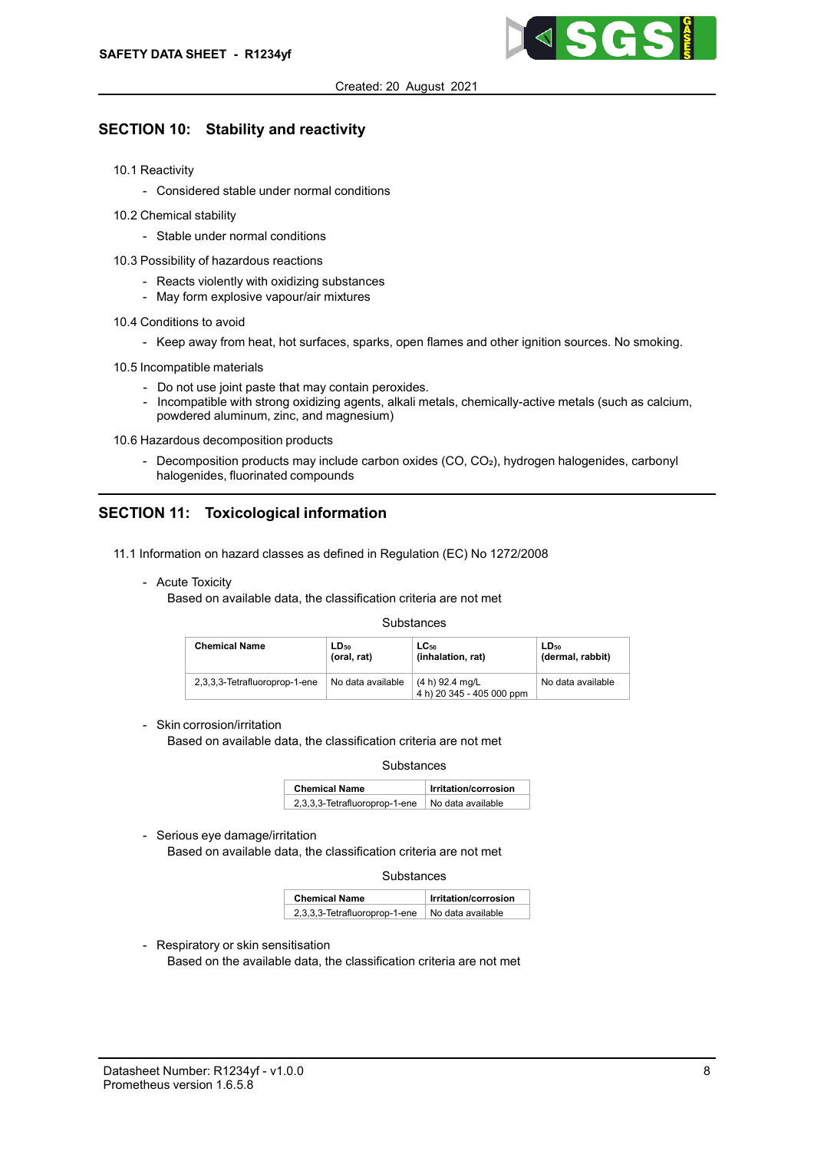

# SECTION 10: Stability and reactivity

- 10.1 Reactivity
	- Considered stable under normal conditions
- 10.2 Chemical stability
	- Stable under normal conditions
- 10.3 Possibility of hazardous reactions
	- Reacts violently with oxidizing substances
	- May form explosive vapour/air mixtures
- 10.4 Conditions to avoid
	- Keep away from heat, hot surfaces, sparks, open flames and other ignition sources. No smoking.
- 10.5 Incompatible materials
	- Do not use joint paste that may contain peroxides.
	- Incompatible with strong oxidizing agents, alkali metals, chemically-active metals (such as calcium, powdered aluminum, zinc, and magnesium)
- 10.6 Hazardous decomposition products
	- Decomposition products may include carbon oxides (CO, CO<sub>2</sub>), hydrogen halogenides, carbonyl halogenides, fluorinated compounds

# SECTION 11: Toxicological information

- 11.1 Information on hazard classes as defined in Regulation (EC) No 1272/2008
	- Acute Toxicity

Based on available data, the classification criteria are not met

## **Substances**

| <b>Chemical Name</b>          | LD <sub>50</sub><br>(oral, rat) | LC <sub>50</sub><br>(inhalation, rat)        | LD <sub>50</sub><br>(dermal, rabbit) |
|-------------------------------|---------------------------------|----------------------------------------------|--------------------------------------|
| 2,3,3,3-Tetrafluoroprop-1-ene | No data available               | (4 h) 92.4 mg/L<br>4 h) 20 345 - 405 000 ppm | No data available                    |

- Skin corrosion/irritation

Based on available data, the classification criteria are not met

**Substances** 

| <b>Chemical Name</b>          | Irritation/corrosion |
|-------------------------------|----------------------|
| 2,3,3,3-Tetrafluoroprop-1-ene | No data available    |

- Serious eye damage/irritation

Based on available data, the classification criteria are not met

**Substances** 

| <b>Chemical Name</b>          | Irritation/corrosion |
|-------------------------------|----------------------|
| 2,3,3,3-Tetrafluoroprop-1-ene | No data available    |

- Respiratory or skin sensitisation

Based on the available data, the classification criteria are not met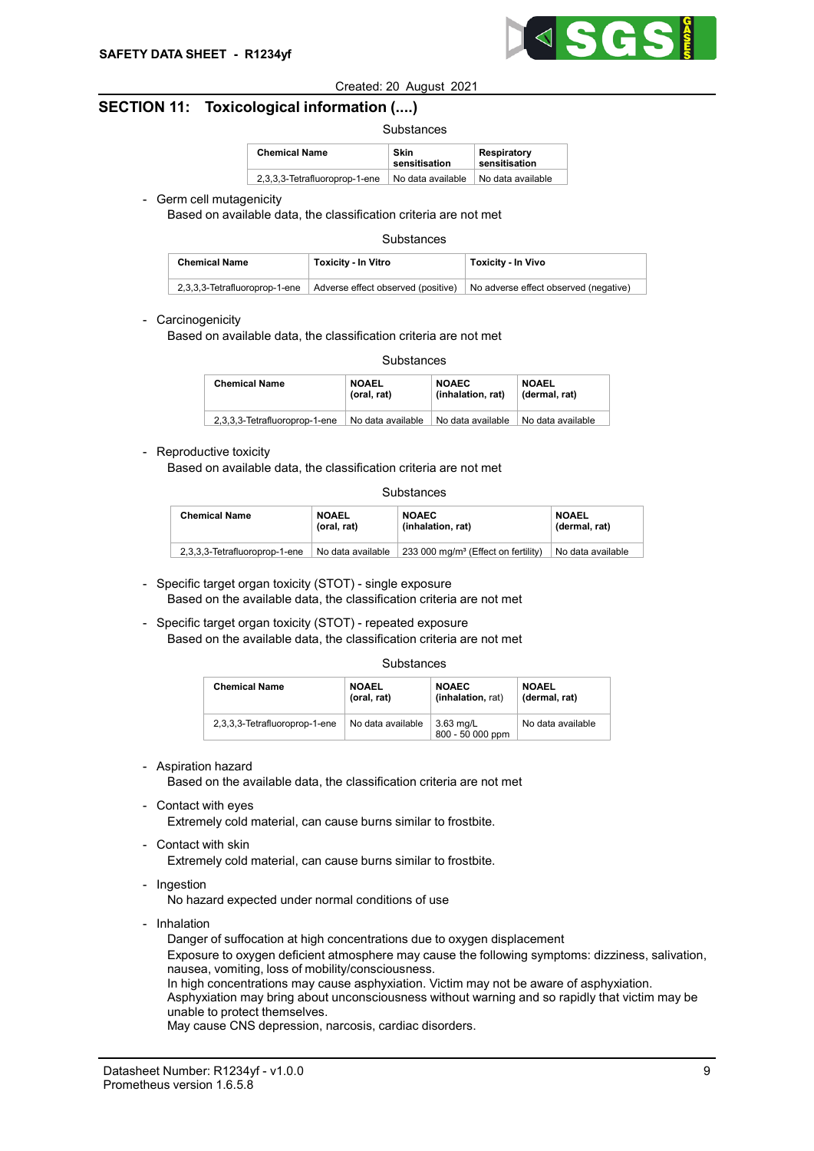

# SECTION 11: Toxicological information (....)

### Substances

| <b>Chemical Name</b>          | Skin<br>sensitisation | Respiratory<br>sensitisation |
|-------------------------------|-----------------------|------------------------------|
| 2.3.3.3-Tetrafluoroprop-1-ene | No data available     | No data available            |

### - Germ cell mutagenicity

Based on available data, the classification criteria are not met

#### **Substances**

| <b>Chemical Name</b>          | <b>Toxicity - In Vitro</b>         | Toxicity - In Vivo                    |
|-------------------------------|------------------------------------|---------------------------------------|
| 2,3,3,3-Tetrafluoroprop-1-ene | Adverse effect observed (positive) | No adverse effect observed (negative) |

## - Carcinogenicity

Based on available data, the classification criteria are not met

#### **Substances**

| <b>Chemical Name</b>          | <b>NOAEL</b>      | <b>NOAEC</b>      | <b>NOAEL</b>      |
|-------------------------------|-------------------|-------------------|-------------------|
|                               | (oral, rat)       | (inhalation, rat) | (dermal, rat)     |
| 2,3,3,3-Tetrafluoroprop-1-ene | No data available | No data available | No data available |

### - Reproductive toxicity

Based on available data, the classification criteria are not met

| Substances |  |
|------------|--|
|------------|--|

| <b>Chemical Name</b>          | <b>NOAEL</b><br>(oral, rat) | <b>NOAEC</b><br>(inhalation, rat)               | <b>NOAEL</b><br>(dermal, rat) |
|-------------------------------|-----------------------------|-------------------------------------------------|-------------------------------|
| 2,3,3,3-Tetrafluoroprop-1-ene | No data available           | 233 000 mg/m <sup>3</sup> (Effect on fertility) | No data available             |

- Specific target organ toxicity (STOT) single exposure Based on the available data, the classification criteria are not met
- Specific target organ toxicity (STOT) repeated exposure Based on the available data, the classification criteria are not met

### **Substances**

| <b>Chemical Name</b>          | <b>NOAEL</b>      | <b>NOAEC</b>                  | <b>NOAEL</b>      |
|-------------------------------|-------------------|-------------------------------|-------------------|
|                               | (oral, rat)       | (inhalation, rat)             | (dermal, rat)     |
| 2,3,3,3-Tetrafluoroprop-1-ene | No data available | 3.63 mg/L<br>800 - 50 000 ppm | No data available |

### - Aspiration hazard

Based on the available data, the classification criteria are not met

- Contact with eyes

Extremely cold material, can cause burns similar to frostbite.

- Contact with skin

Extremely cold material, can cause burns similar to frostbite.

- Ingestion

No hazard expected under normal conditions of use

- Inhalation

Danger of suffocation at high concentrations due to oxygen displacement

Exposure to oxygen deficient atmosphere may cause the following symptoms: dizziness, salivation, nausea, vomiting, loss of mobility/consciousness.

In high concentrations may cause asphyxiation. Victim may not be aware of asphyxiation. Asphyxiation may bring about unconsciousness without warning and so rapidly that victim may be unable to protect themselves.

May cause CNS depression, narcosis, cardiac disorders.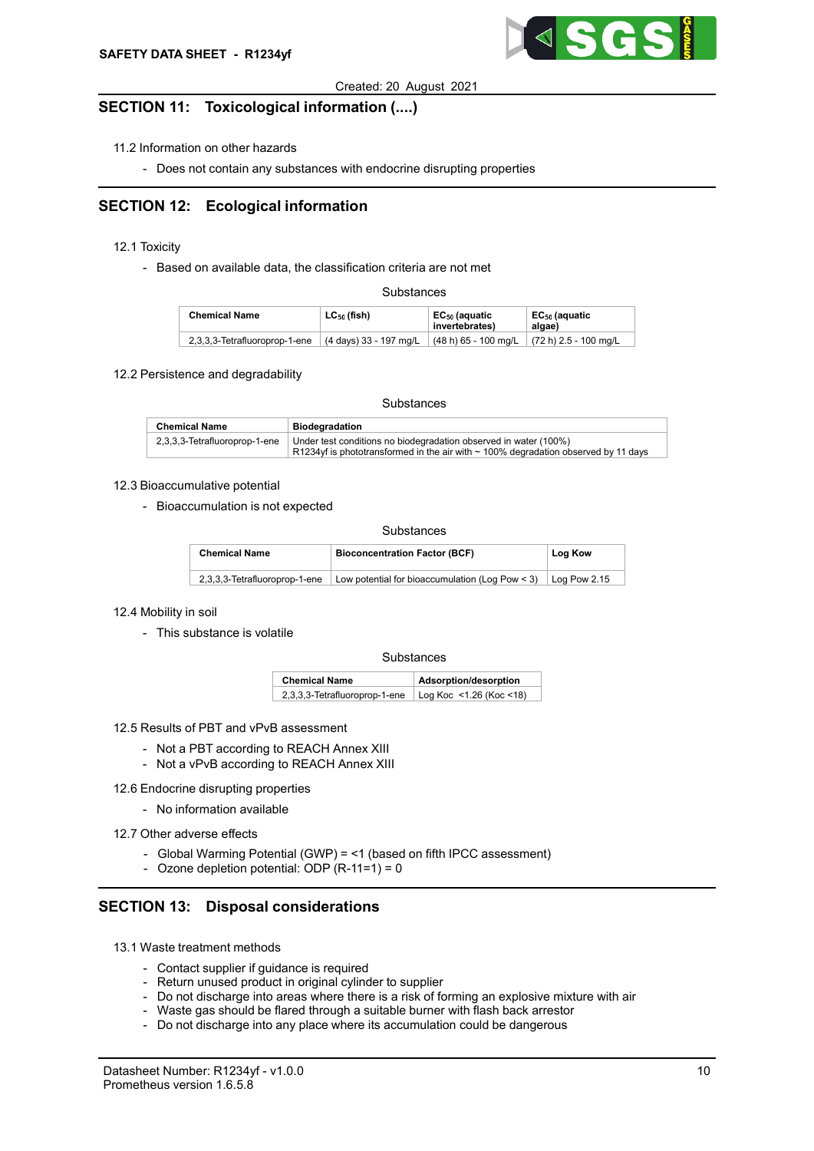

# SECTION 11: Toxicological information (....)

- 11.2 Information on other hazards
	- Does not contain any substances with endocrine disrupting properties

# SECTION 12: Ecological information

### 12.1 Toxicity

- Based on available data, the classification criteria are not met

### **Substances**

| <b>Chemical Name</b>          | $LC_{50}$ (fish)         | EC <sub>50</sub> (aquatic<br>invertebrates)  | $EC50$ (aquatic<br>algae) |
|-------------------------------|--------------------------|----------------------------------------------|---------------------------|
| 2,3,3,3-Tetrafluoroprop-1-ene | . (4 davs) 33 - 197 mɑ/L | $(48 h) 65 - 100 mq/L$ (72 h) 2.5 - 100 mg/L |                           |

#### 12.2 Persistence and degradability

#### **Substances**

| <b>Chemical Name</b>          | Biodegradation                                                                          |
|-------------------------------|-----------------------------------------------------------------------------------------|
| 2,3,3,3-Tetrafluoroprop-1-ene | Under test conditions no biodegradation observed in water (100%)                        |
|                               | R1234yf is phototransformed in the air with $\sim$ 100% degradation observed by 11 days |

### 12.3 Bioaccumulative potential

- Bioaccumulation is not expected

### **Substances**

| <b>Chemical Name</b>          | <b>Bioconcentration Factor (BCF)</b>            | Log Kow        |
|-------------------------------|-------------------------------------------------|----------------|
| 2,3,3,3-Tetrafluoroprop-1-ene | Low potential for bioaccumulation (Log Pow < 3) | Log Pow $2.15$ |

## 12.4 Mobility in soil

- This substance is volatile

### **Substances**

| <b>Chemical Name</b>                                      | Adsorption/desorption |
|-----------------------------------------------------------|-----------------------|
| 2,3,3,3-Tetrafluoroprop-1-ene   Log Koc < 1.26 (Koc < 18) |                       |

### 12.5 Results of PBT and vPvB assessment

- Not a PBT according to REACH Annex XIII
- Not a vPvB according to REACH Annex XIII
- 12.6 Endocrine disrupting properties
	- No information available
- 12.7 Other adverse effects
	- Global Warming Potential (GWP) = <1 (based on fifth IPCC assessment)
	- Ozone depletion potential: ODP (R-11=1) = 0

# SECTION 13: Disposal considerations

- 13.1 Waste treatment methods
	- Contact supplier if guidance is required
	- Return unused product in original cylinder to supplier
	- Do not discharge into areas where there is a risk of forming an explosive mixture with air
	- Waste gas should be flared through a suitable burner with flash back arrestor
	- Do not discharge into any place where its accumulation could be dangerous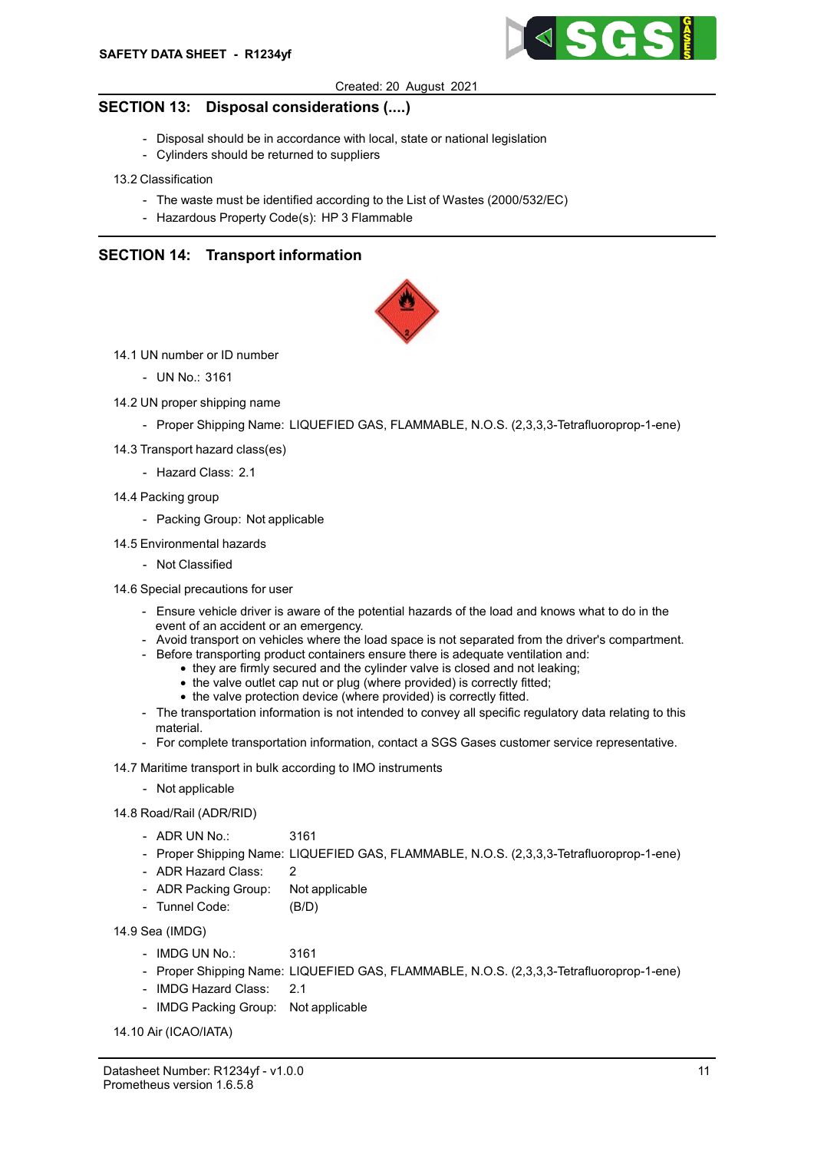

# SECTION 13: Disposal considerations (....)

- Disposal should be in accordance with local, state or national legislation
- Cylinders should be returned to suppliers

### 13.2 Classification

- The waste must be identified according to the List of Wastes (2000/532/EC)
- Hazardous Property Code(s): HP 3 Flammable

# SECTION 14: Transport information



- 14.1 UN number or ID number
	- UN No.: 3161
- 14.2 UN proper shipping name
	- Proper Shipping Name: LIQUEFIED GAS, FLAMMABLE, N.O.S. (2,3,3,3-Tetrafluoroprop-1-ene)
- 14.3 Transport hazard class(es)
	- Hazard Class: 2.1
- 14.4 Packing group
	- Packing Group: Not applicable
- 14.5 Environmental hazards
	- Not Classified
- 14.6 Special precautions for user
	- Ensure vehicle driver is aware of the potential hazards of the load and knows what to do in the event of an accident or an emergency.
	- Avoid transport on vehicles where the load space is not separated from the driver's compartment.
	- Before transporting product containers ensure there is adequate ventilation and:
		- they are firmly secured and the cylinder valve is closed and not leaking;
		- the valve outlet cap nut or plug (where provided) is correctly fitted:
		- the valve protection device (where provided) is correctly fitted.
	- The transportation information is not intended to convey all specific regulatory data relating to this material.
	- For complete transportation information, contact a SGS Gases customer service representative.
- 14.7 Maritime transport in bulk according to IMO instruments
	- Not applicable
- 14.8 Road/Rail (ADR/RID)
	- ADR UN No.: 3161
	- Proper Shipping Name: LIQUEFIED GAS, FLAMMABLE, N.O.S. (2,3,3,3-Tetrafluoroprop-1-ene)
	- ADR Hazard Class: 2
	- ADR Packing Group: Not applicable
	- Tunnel Code: (B/D)
- 14.9 Sea (IMDG)
	- IMDG UN No.: 3161
	- Proper Shipping Name: LIQUEFIED GAS, FLAMMABLE, N.O.S. (2,3,3,3-Tetrafluoroprop-1-ene)
	- IMDG Hazard Class: 2.1
	- IMDG Packing Group: Not applicable
- 14.10 Air (ICAO/IATA)